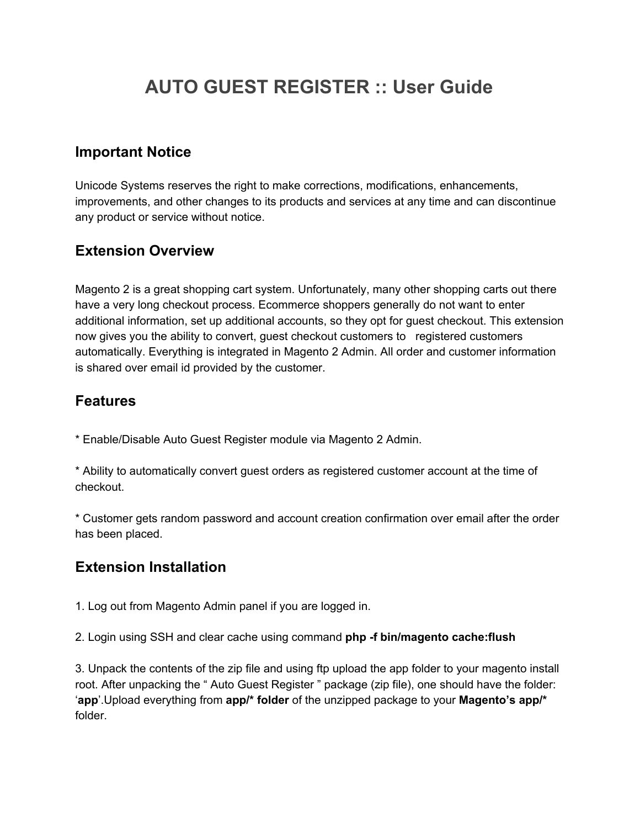# **AUTO GUEST REGISTER :: User Guide**

#### **Important Notice**

Unicode Systems reserves the right to make corrections, modifications, enhancements, improvements, and other changes to its products and services at any time and can discontinue any product or service without notice.

#### **Extension Overview**

Magento 2 is a great shopping cart system. Unfortunately, many other shopping carts out there have a very long checkout process. Ecommerce shoppers generally do not want to enter additional information, set up additional accounts, so they opt for guest checkout. This extension now gives you the ability to convert, guest checkout customers to registered customers automatically. Everything is integrated in Magento 2 Admin. All order and customer information is shared over email id provided by the customer.

#### **Features**

\* Enable/Disable Auto Guest Register module via Magento 2 Admin.

\* Ability to automatically convert guest orders as registered customer account at the time of checkout.

\* Customer gets random password and account creation confirmation over email after the order has been placed.

### **Extension Installation**

1. Log out from Magento Admin panel if you are logged in.

2. Login using SSH and clear cache using command **php -f bin/magento cache:flush**

3. Unpack the contents of the zip file and using ftp upload the app folder to your magento install root. After unpacking the " Auto Guest Register " package (zip file), one should have the folder: '**app**'.Upload everything from **app/\* folder** of the unzipped package to your **Magento's app/\*** folder.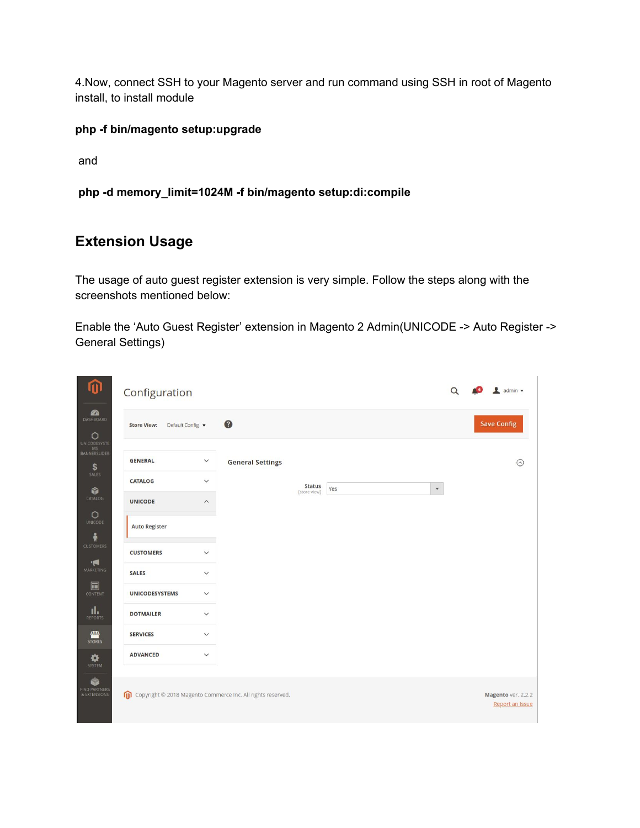4.Now, connect SSH to your Magento server and run command using SSH in root of Magento install, to install module

#### **php -f bin/magento setup:upgrade**

and

**php -d memory\_limit=1024M -f bin/magento setup:di:compile**

#### **Extension Usage**

The usage of auto guest register extension is very simple. Follow the steps along with the screenshots mentioned below:

Enable the 'Auto Guest Register' extension in Magento 2 Admin(UNICODE -> Auto Register -> General Settings)

| ⋒                                                 | Configuration                                               |                         |                         |                      |              | $\Omega$ | $\sqrt{2}$ admin $\sqrt{2}$           |
|---------------------------------------------------|-------------------------------------------------------------|-------------------------|-------------------------|----------------------|--------------|----------|---------------------------------------|
| <b>CA</b><br>DASHBOARD<br>$\circ$<br>UNICODESYSTE | Default Config v<br><b>Store View:</b>                      |                         | $\bullet$               |                      |              |          | <b>Save Config</b>                    |
| M\$<br>BANNERSLIDER<br>\$                         | <b>GENERAL</b>                                              | $\checkmark$            | <b>General Settings</b> |                      |              |          | ര                                     |
| SALES<br>命                                        | <b>CATALOG</b>                                              | $\checkmark$            |                         | <b>Status</b><br>Yes | $\mathbf{v}$ |          |                                       |
| CATALOG                                           | <b>UNICODE</b>                                              | $\widehat{\phantom{a}}$ |                         | [store view]         |              |          |                                       |
| $\circ$<br><b>UNICODE</b><br>$\frac{2}{N}$        | <b>Auto Register</b>                                        |                         |                         |                      |              |          |                                       |
| <b>CUSTOMERS</b><br>۰                             | <b>CUSTOMERS</b>                                            | $\checkmark$            |                         |                      |              |          |                                       |
| MARKETING                                         | <b>SALES</b>                                                | $\checkmark$            |                         |                      |              |          |                                       |
| $\Box$<br>CONTENT                                 | <b>UNICODESYSTEMS</b>                                       | $\checkmark$            |                         |                      |              |          |                                       |
| ıl.<br><b>REPORTS</b>                             | <b>DOTMAILER</b>                                            | $\checkmark$            |                         |                      |              |          |                                       |
| 四<br><b>STORES</b>                                | <b>SERVICES</b>                                             | $\checkmark$            |                         |                      |              |          |                                       |
| ✿<br>SYSTEM                                       | <b>ADVANCED</b>                                             | $\checkmark$            |                         |                      |              |          |                                       |
| ¢<br>FIND PARTNERS<br>& EXTENSIONS                | Copyright © 2018 Magento Commerce Inc. All rights reserved. |                         |                         |                      |              |          | Magento ver. 2.2.2<br>Report an Issue |